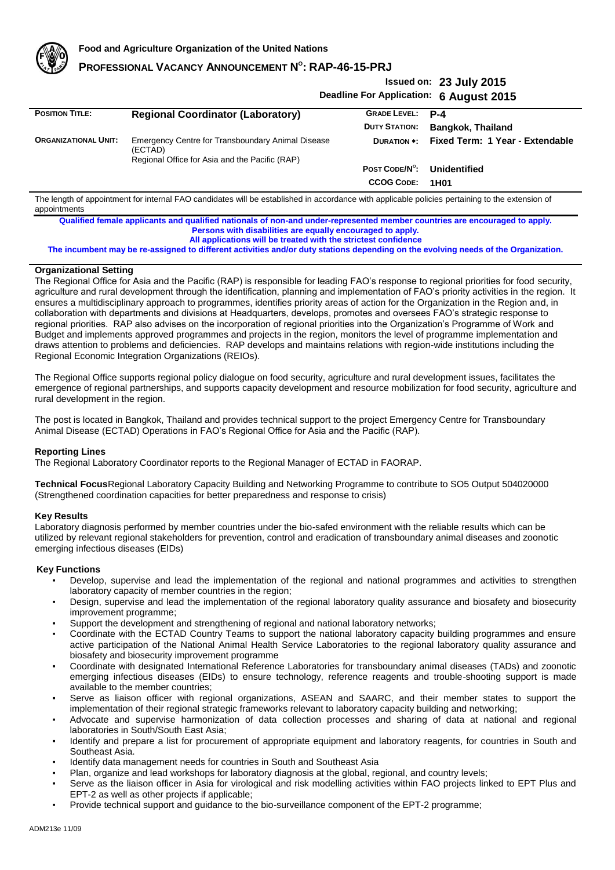

# **PROFESSIONAL VACANCY ANNOUNCEMENT N O : RAP-46-15-PRJ**

## **Issued on: 23 July 2015 Deadline For Application: 6 August 2015**

|                             |                                                                                                                |                         | 5.19995221                      |
|-----------------------------|----------------------------------------------------------------------------------------------------------------|-------------------------|---------------------------------|
| <b>POSITION TITLE:</b>      | <b>Regional Coordinator (Laboratory)</b>                                                                       | <b>GRADE LEVEL: P-4</b> |                                 |
|                             |                                                                                                                | <b>DUTY STATION:</b>    | <b>Bangkok, Thailand</b>        |
| <b>ORGANIZATIONAL UNIT:</b> | Emergency Centre for Transboundary Animal Disease<br>(ECTAD)<br>Regional Office for Asia and the Pacific (RAP) | <b>DURATION *:</b>      | Fixed Term: 1 Year - Extendable |
|                             |                                                                                                                | POST CODE/N°:           | Unidentified                    |
|                             |                                                                                                                | <b>CCOG CODE:</b>       | 1H <sub>0</sub> 1               |

The length of appointment for internal FAO candidates will be established in accordance with applicable policies pertaining to the extension of appointments

**Qualified female applicants and qualified nationals of non-and under-represented member countries are encouraged to apply. Persons with disabilities are equally encouraged to apply. All applications will be treated with the strictest confidence**

**The incumbent may be re-assigned to different activities and/or duty stations depending on the evolving needs of the Organization.**

## **Organizational Setting**

The Regional Office for Asia and the Pacific (RAP) is responsible for leading FAO's response to regional priorities for food security, agriculture and rural development through the identification, planning and implementation of FAO's priority activities in the region. It ensures a multidisciplinary approach to programmes, identifies priority areas of action for the Organization in the Region and, in collaboration with departments and divisions at Headquarters, develops, promotes and oversees FAO's strategic response to regional priorities. RAP also advises on the incorporation of regional priorities into the Organization's Programme of Work and Budget and implements approved programmes and projects in the region, monitors the level of programme implementation and draws attention to problems and deficiencies. RAP develops and maintains relations with region-wide institutions including the Regional Economic Integration Organizations (REIOs).

The Regional Office supports regional policy dialogue on food security, agriculture and rural development issues, facilitates the emergence of regional partnerships, and supports capacity development and resource mobilization for food security, agriculture and rural development in the region.

The post is located in Bangkok, Thailand and provides technical support to the project Emergency Centre for Transboundary Animal Disease (ECTAD) Operations in FAO's Regional Office for Asia and the Pacific (RAP).

#### **Reporting Lines**

The Regional Laboratory Coordinator reports to the Regional Manager of ECTAD in FAORAP.

**Technical Focus**Regional Laboratory Capacity Building and Networking Programme to contribute to SO5 Output 504020000 (Strengthened coordination capacities for better preparedness and response to crisis)

#### **Key Results**

Laboratory diagnosis performed by member countries under the bio-safed environment with the reliable results which can be utilized by relevant regional stakeholders for prevention, control and eradication of transboundary animal diseases and zoonotic emerging infectious diseases (EIDs)

## **Key Functions**

- Develop, supervise and lead the implementation of the regional and national programmes and activities to strengthen laboratory capacity of member countries in the region;
- Design, supervise and lead the implementation of the regional laboratory quality assurance and biosafety and biosecurity improvement programme;
- Support the development and strengthening of regional and national laboratory networks;
- Coordinate with the ECTAD Country Teams to support the national laboratory capacity building programmes and ensure active participation of the National Animal Health Service Laboratories to the regional laboratory quality assurance and biosafety and biosecurity improvement programme
- Coordinate with designated International Reference Laboratories for transboundary animal diseases (TADs) and zoonotic emerging infectious diseases (EIDs) to ensure technology, reference reagents and trouble-shooting support is made available to the member countries;
- Serve as liaison officer with regional organizations, ASEAN and SAARC, and their member states to support the implementation of their regional strategic frameworks relevant to laboratory capacity building and networking;
- Advocate and supervise harmonization of data collection processes and sharing of data at national and regional laboratories in South/South East Asia;
- Identify and prepare a list for procurement of appropriate equipment and laboratory reagents, for countries in South and Southeast Asia.
- Identify data management needs for countries in South and Southeast Asia
- Plan, organize and lead workshops for laboratory diagnosis at the global, regional, and country levels;
- Serve as the liaison officer in Asia for virological and risk modelling activities within FAO projects linked to EPT Plus and EPT-2 as well as other projects if applicable;
- Provide technical support and guidance to the bio-surveillance component of the EPT-2 programme;